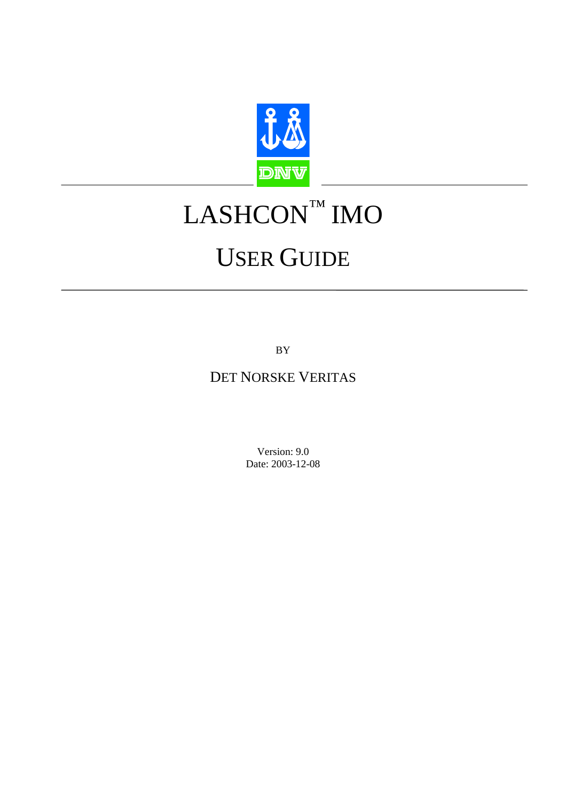

# LASHCON™ IMO

# USER GUIDE

BY

# DET NORSKE VERITAS

Version: 9.0 Date: 2003-12-08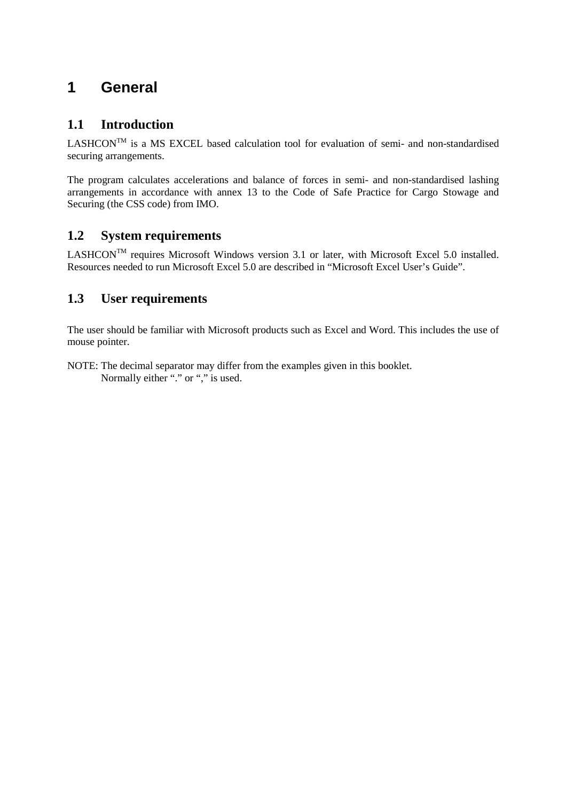# **1 General**

## **1.1 Introduction**

 $LASHCON^{TM}$  is a MS EXCEL based calculation tool for evaluation of semi- and non-standardised securing arrangements.

The program calculates accelerations and balance of forces in semi- and non-standardised lashing arrangements in accordance with annex 13 to the Code of Safe Practice for Cargo Stowage and Securing (the CSS code) from IMO.

## **1.2 System requirements**

LASHCON<sup>TM</sup> requires Microsoft Windows version 3.1 or later, with Microsoft Excel 5.0 installed. Resources needed to run Microsoft Excel 5.0 are described in "Microsoft Excel User's Guide".

# **1.3 User requirements**

The user should be familiar with Microsoft products such as Excel and Word. This includes the use of mouse pointer.

NOTE: The decimal separator may differ from the examples given in this booklet. Normally either "." or "," is used.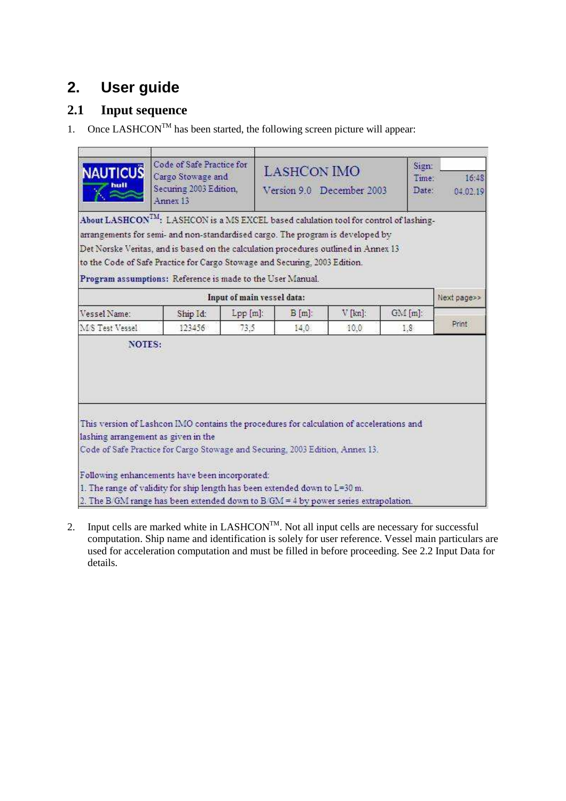# **2. User guide**

# **2.1 Input sequence**

1. Once  $\text{LASHCON}^{\text{TM}}$  has been started, the following screen picture will appear:

| <b>NAUTICUS</b>                     | Code of Safe Practice for<br>Cargo Stowage and<br>Securing 2003 Edition,<br>Annex 13                                                                                                                                                                                                                                                                                                                                                                  |                        | Sign:<br><b>LASHCON IMO</b><br>Time:<br>Version 9.0 December 2003<br>Date: |           |       |  |  |  |  |
|-------------------------------------|-------------------------------------------------------------------------------------------------------------------------------------------------------------------------------------------------------------------------------------------------------------------------------------------------------------------------------------------------------------------------------------------------------------------------------------------------------|------------------------|----------------------------------------------------------------------------|-----------|-------|--|--|--|--|
|                                     | $\Lambda$ bout $\mathrm{LASHCON}^{\mathrm{TM}}$ : $\mathrm{LASHCON}$ is a MS EXCEL based calulation tool for control of lashing-<br>arrangements for semi- and non-standardised cargo. The program is developed by<br>Det Norske Veritas, and is based on the calculation procedures outlined in Annex 13<br>to the Code of Safe Practice for Cargo Stowage and Securing, 2003 Edition.<br>Program assumptions: Reference is made to the User Manual. |                        |                                                                            |           |       |  |  |  |  |
|                                     | Input of main vessel data:                                                                                                                                                                                                                                                                                                                                                                                                                            |                        |                                                                            |           |       |  |  |  |  |
| Vessel Name:                        | Ship Id:                                                                                                                                                                                                                                                                                                                                                                                                                                              | $Lpp[m]$ :<br>$B[m]$ : | $V$ [kn]:                                                                  | $GM[m]$ : |       |  |  |  |  |
| M/S Test Vessel                     | 123456                                                                                                                                                                                                                                                                                                                                                                                                                                                | 73.5<br>14.0           | 10.0                                                                       | 1.8       | Print |  |  |  |  |
| lashing arrangement as given in the | This version of Lashcon IMO contains the procedures for calculation of accelerations and<br>Code of Safe Practice for Cargo Stowage and Securing, 2003 Edition, Annex 13.                                                                                                                                                                                                                                                                             |                        |                                                                            |           |       |  |  |  |  |
|                                     | Following enhancements have been incorporated:<br>1. The range of validity for ship length has been extended down to L=30 m.<br>2. The B GM range has been extended down to B GM = 4 by power series extrapolation.                                                                                                                                                                                                                                   |                        |                                                                            |           |       |  |  |  |  |

2. Input cells are marked white in  $LASHCON^{TM}$ . Not all input cells are necessary for successful computation. Ship name and identification is solely for user reference. Vessel main particulars are used for acceleration computation and must be filled in before proceeding. See 2.2 Input Data for details.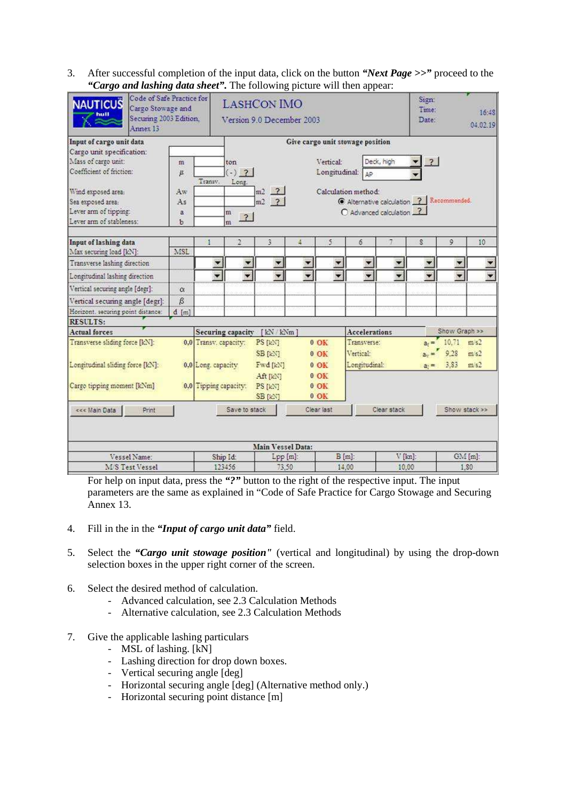3. After successful completion of the input data, click on the button *"Next Page >>"* proceed to the *"Cargo and lashing data sheet".* The following picture will then appear:

| <b>NAUTICUS</b>                    | Code of Safe Practice for<br>Cargo Stowage and<br>Securing 2003 Edition,<br>Annex 13 |          |                          | r r<br><b>LASHCON IMO</b><br>Version 9.0 December 2003 |                      |                          |                          |                          |                          | Sign:<br>Time:<br>Date:                  |                          | 16:48<br>04.02.19 |  |
|------------------------------------|--------------------------------------------------------------------------------------|----------|--------------------------|--------------------------------------------------------|----------------------|--------------------------|--------------------------|--------------------------|--------------------------|------------------------------------------|--------------------------|-------------------|--|
| Input of cargo unit data           |                                                                                      |          |                          | Give cargo unit stowage position                       |                      |                          |                          |                          |                          |                                          |                          |                   |  |
| Cargo unit specification:          |                                                                                      |          |                          |                                                        |                      |                          |                          |                          |                          |                                          |                          |                   |  |
| Mass of cargo unit:                |                                                                                      | m        |                          | ton                                                    |                      |                          | Vertical:                |                          | Deck, high               | $\overline{\mathbf{r}}$                  |                          |                   |  |
| Coefficient of friction:           |                                                                                      | y,       | Transv.                  | $(-)$ ?<br>Long.                                       |                      |                          | Longitudinal:            | AP                       |                          |                                          |                          |                   |  |
| Wind exposed area:                 |                                                                                      | Aw       |                          |                                                        | $m2$ $2$             |                          |                          | Calculation method:      |                          |                                          |                          |                   |  |
| Sea exposed area:                  |                                                                                      | As       |                          |                                                        | $m2$ ?               |                          |                          |                          |                          | C Alternative calculation 2 Recommended. |                          |                   |  |
| Lever arm of tipping:              |                                                                                      | a        |                          | m<br>$\overline{?}$                                    |                      |                          |                          | O Advanced calculation 2 |                          |                                          |                          |                   |  |
| Lever arm of stableness:           |                                                                                      | ь        |                          | m                                                      |                      |                          |                          |                          |                          |                                          |                          |                   |  |
| Input of lashing data              |                                                                                      |          |                          | $\overline{2}$                                         | 3                    | 4                        | 5                        | 6                        | 7                        | S                                        | 9                        | 10                |  |
| Max securing load [kN]:            |                                                                                      | MSL      |                          |                                                        |                      |                          |                          |                          |                          |                                          |                          |                   |  |
| Transverse lashing direction       |                                                                                      |          | $\overline{\phantom{a}}$ | $\overline{\phantom{a}}$                               | $\overline{z}$       | $\overline{\phantom{a}}$ | $\overline{\phantom{a}}$ | ▼                        | $\overline{\phantom{a}}$ | $\overline{\phantom{a}}$                 | ×                        |                   |  |
| Longitudinal lashing direction     |                                                                                      |          | $\overline{\phantom{0}}$ | ۰                                                      | $\blacktriangledown$ | v.                       | $\overline{\phantom{a}}$ | $\overline{\phantom{0}}$ | $\overline{\phantom{0}}$ |                                          | $\overline{\phantom{0}}$ |                   |  |
| Vertical securing angle [degr]:    |                                                                                      | $\alpha$ |                          |                                                        |                      |                          |                          |                          |                          |                                          |                          |                   |  |
| Vertical securing angle [degr]:    |                                                                                      | $\beta$  |                          |                                                        |                      |                          |                          |                          |                          |                                          |                          |                   |  |
| Horizont. securing point distance: |                                                                                      | $d$ [m]  |                          |                                                        |                      |                          |                          |                          |                          |                                          |                          |                   |  |
| <b>RESULTS:</b>                    |                                                                                      |          |                          |                                                        |                      |                          |                          |                          |                          |                                          |                          |                   |  |
| <b>Actual forces</b>               |                                                                                      |          |                          | Securing capacity                                      | [kN / kNm]           |                          |                          | <b>Accelerations</b>     |                          |                                          | Show Graph >>            |                   |  |
| Transverse sliding force [kN]:     |                                                                                      |          | 0,0 Transv. capacity:    |                                                        | PS [kN]<br>SB [kN]   |                          | $0$ OK<br>$0$ OK         | Transverse:<br>Vertical: |                          | $a_{1} =$<br>$a_v =$                     | 10,71<br>9.28            | m s2<br>m/s2      |  |
| Longitudinal sliding force [kN]:   |                                                                                      |          | 0.0 Long. capacity       |                                                        | Fwd [kN]<br>Aft [kN] |                          | $0$ OK<br>$0$ OK         | Longitudinal:            |                          | $a_1 =$                                  | 3,83                     | m/s2              |  |
| Cargo tipping moment [kNm]         |                                                                                      |          |                          | 0,0 Tipping capacity: PS [kN]                          | SB [kN]              |                          | $0$ OK<br>$0$ OK         |                          |                          |                                          |                          |                   |  |
| <<< Main Data                      | Print                                                                                |          |                          | Save to stack                                          |                      |                          | Clear last               |                          | Clear stack              |                                          |                          | Show stack >>     |  |
|                                    |                                                                                      |          |                          |                                                        |                      |                          |                          |                          |                          |                                          |                          |                   |  |
|                                    |                                                                                      |          |                          |                                                        | Main Vessel Data:    |                          |                          |                          |                          |                                          |                          |                   |  |
| Vessel Name:                       |                                                                                      |          |                          | Ship Id:                                               | Lpp [m]:             |                          |                          | $B[m]$ :                 | V [kn]:                  |                                          |                          | $GM$ [m]:         |  |
| <b>M/S Test Vessel</b>             |                                                                                      |          | 123456                   |                                                        | 73,50                |                          |                          | 14.00                    |                          | 10.00                                    |                          | 1.80              |  |

For help on input data, press the *"?"* button to the right of the respective input. The input parameters are the same as explained in "Code of Safe Practice for Cargo Stowage and Securing Annex 13.

- 4. Fill in the in the *"Input of cargo unit data"* field.
- 5. Select the *"Cargo unit stowage position"* (vertical and longitudinal) by using the drop-down selection boxes in the upper right corner of the screen.
- 6. Select the desired method of calculation.
	- Advanced calculation, see 2.3 Calculation Methods
	- Alternative calculation, see 2.3 Calculation Methods
- 7. Give the applicable lashing particulars
	- MSL of lashing. [kN]
	- Lashing direction for drop down boxes.
	- Vertical securing angle [deg]
	- Horizontal securing angle [deg] (Alternative method only.)
	- Horizontal securing point distance [m]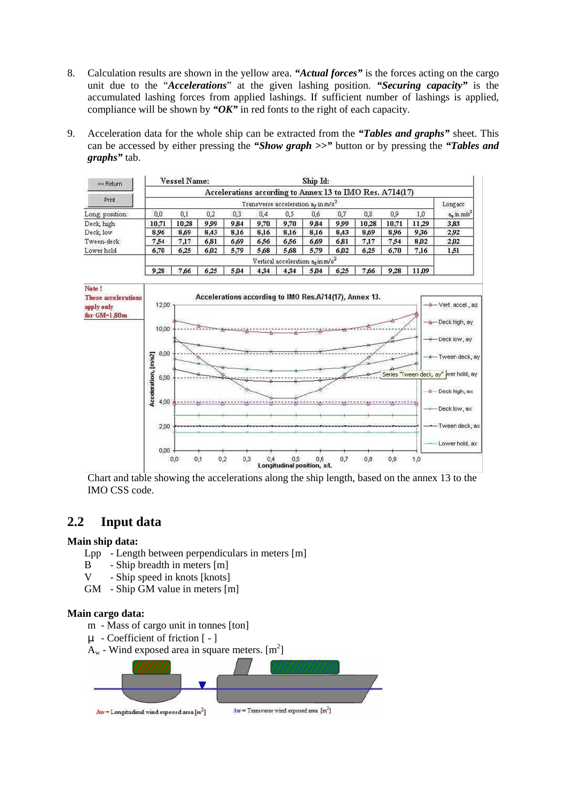- 8. Calculation results are shown in the yellow area. *"Actual forces"* is the forces acting on the cargo unit due to the "*Accelerations*" at the given lashing position. *"Securing capacity"* is the accumulated lashing forces from applied lashings. If sufficient number of lashings is applied, compliance will be shown by *"OK"* in red fonts to the right of each capacity.
- 9. Acceleration data for the whole ship can be extracted from the *"Tables and graphs"* sheet. This can be accessed by either pressing the *"Show graph >>"* button or by pressing the *"Tables and graphs"* tab.

| << Return      |                                                          | <b>Vessel Name:</b> |      |      |      |      | Ship Id: |      |       |       |       |            |
|----------------|----------------------------------------------------------|---------------------|------|------|------|------|----------|------|-------|-------|-------|------------|
| Print          | Accelerations according to Annex 13 to IMO Res. A714(17) |                     |      |      |      |      |          |      |       |       |       |            |
|                | Transverse acceleration as in m/s <sup>2</sup>           |                     |      |      |      |      |          |      |       |       |       | Long acc   |
| Long position: | 0,0                                                      | 0,1                 | 0,2  | 0.3  | 0,4  | 0,5  | 0,6      | 0,7  | 0,8   | 0,9   | 1,0   | a, in m/s' |
| Deck high      | 10.71                                                    | 10.28               | 9.99 | 9,84 | 9,70 | 9,70 | 9.84     | 9.99 | 10.28 | 10.71 | 11.29 | 3.83       |
| Deck, low      | 8.96                                                     | 8.69                | 8,43 | 8,16 | 8,16 | 8,16 | 8.16     | 8,43 | 8.69  | 8.96  | 9.36  | 2.92       |
| Tween-deck     | 7.54                                                     | 7,17                | 6.81 | 6.69 | 6.56 | 6.56 | 6.69     | 6.81 | 7,17  | 7.54  | 8.02  | 2.02       |
| Lower hold     | 6,70                                                     | 6.25                | 6.02 | 5,79 | 5,68 | 5,68 | 5,79     | 6.02 | 6,25  | 6.70  | 7.16  | 1,51       |
|                | Vertical acceleration agin m/s"                          |                     |      |      |      |      |          |      |       |       |       |            |
|                | 9.28                                                     | 7.66                | 6.25 | 5.04 | 4.34 | 4.34 | 5.04     | 6.25 | 7.66  | 9.28  | 11.09 |            |



Chart and table showing the accelerations along the ship length, based on the annex 13 to the IMO CSS code.

## **2.2 Input data**

#### **Main ship data:**

- Lpp Length between perpendiculars in meters [m]
- B Ship breadth in meters [m]
- V Ship speed in knots [knots]
- GM Ship GM value in meters [m]

#### **Main cargo data:**

- m Mass of cargo unit in tonnes [ton]
- µ Coefficient of friction [ ]
- $A_w$  Wind exposed area in square meters.  $[m^2]$

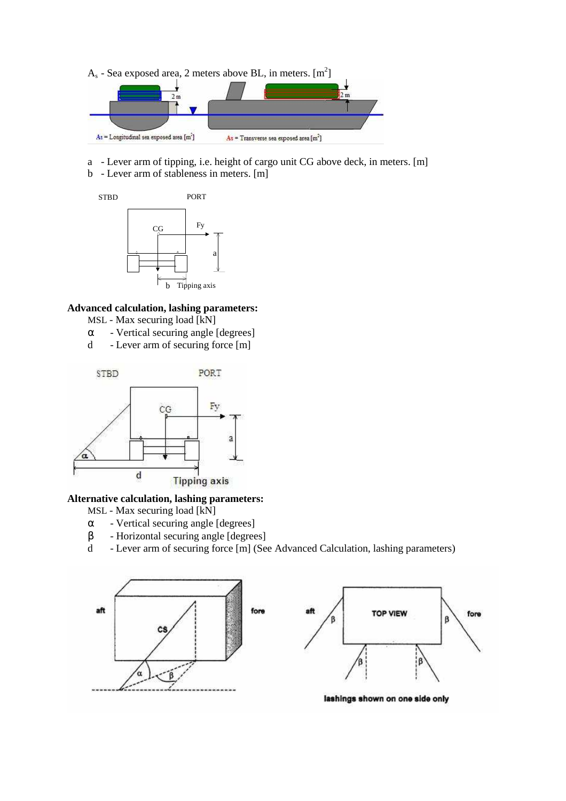$A_s$  - Sea exposed area, 2 meters above BL, in meters.  $[m^2]$ 



- a Lever arm of tipping, i.e. height of cargo unit CG above deck, in meters. [m]
- b Lever arm of stableness in meters. [m]



#### **Advanced calculation, lashing parameters:**

- MSL Max securing load [kN]
- $\alpha$  Vertical securing angle [degrees]
- d Lever arm of securing force [m]



### **Alternative calculation, lashing parameters:**

- MSL Max securing load [kN]
- $\alpha$  Vertical securing angle [degrees]
- β Horizontal securing angle [degrees]
- d Lever arm of securing force [m] (See Advanced Calculation, lashing parameters)



lashings shown on one side only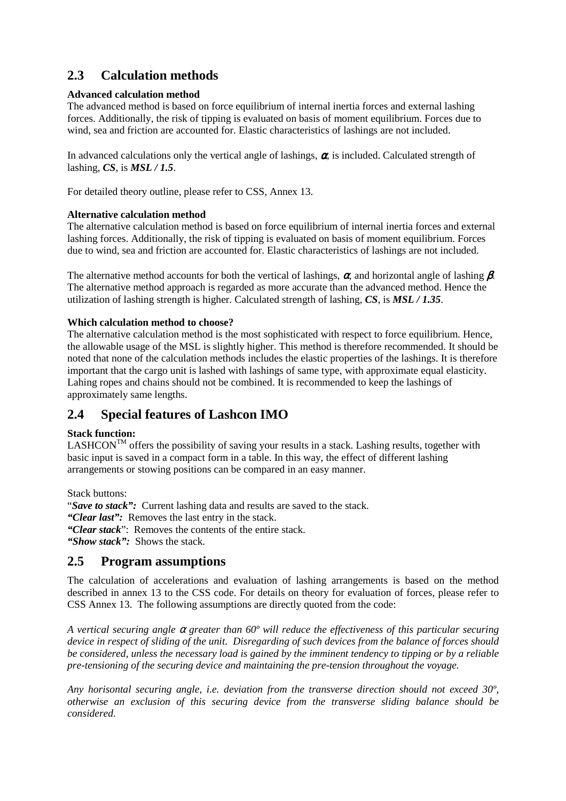# **2.3 Calculation methods**

### **Advanced calculation method**

The advanced method is based on force equilibrium of internal inertia forces and external lashing forces. Additionally, the risk of tipping is evaluated on basis of moment equilibrium. Forces due to wind, sea and friction are accounted for. Elastic characteristics of lashings are not included.

In advanced calculations only the vertical angle of lashings,  $\alpha$  is included. Calculated strength of lashing, *CS*, is *MSL / 1.5*.

For detailed theory outline, please refer to CSS, Annex 13.

## **Alternative calculation method**

The alternative calculation method is based on force equilibrium of internal inertia forces and external lashing forces. Additionally, the risk of tipping is evaluated on basis of moment equilibrium. Forces due to wind, sea and friction are accounted for. Elastic characteristics of lashings are not included.

The alternative method accounts for both the vertical of lashings,  $\alpha$ , and horizontal angle of lashing  $\beta$ . The alternative method approach is regarded as more accurate than the advanced method. Hence the utilization of lashing strength is higher. Calculated strength of lashing, *CS*, is *MSL / 1.35*.

## **Which calculation method to choose?**

The alternative calculation method is the most sophisticated with respect to force equilibrium. Hence, the allowable usage of the MSL is slightly higher. This method is therefore recommended. It should be noted that none of the calculation methods includes the elastic properties of the lashings. It is therefore important that the cargo unit is lashed with lashings of same type, with approximate equal elasticity. Lahing ropes and chains should not be combined. It is recommended to keep the lashings of approximately same lengths.

## **2.4 Special features of Lashcon IMO**

## **Stack function:**

 $LASHCON^{TM}$  offers the possibility of saving your results in a stack. Lashing results, together with basic input is saved in a compact form in a table. In this way, the effect of different lashing arrangements or stowing positions can be compared in an easy manner.

Stack buttons:

"*Save to stack":* Current lashing data and results are saved to the stack.

*"Clear last":* Removes the last entry in the stack.

*"Clear stack*": Removes the contents of the entire stack.

*"Show stack":* Shows the stack.

## **2.5 Program assumptions**

The calculation of accelerations and evaluation of lashing arrangements is based on the method described in annex 13 to the CSS code. For details on theory for evaluation of forces, please refer to CSS Annex 13. The following assumptions are directly quoted from the code:

*A vertical securing angle* α *greater than 60º will reduce the effectiveness of this particular securing device in respect of sliding of the unit. Disregarding of such devices from the balance of forces should be considered, unless the necessary load is gained by the imminent tendency to tipping or by a reliable pre-tensioning of the securing device and maintaining the pre-tension throughout the voyage.* 

*Any horisontal securing angle, i.e. deviation from the transverse direction should not exceed 30º, otherwise an exclusion of this securing device from the transverse sliding balance should be considered.*